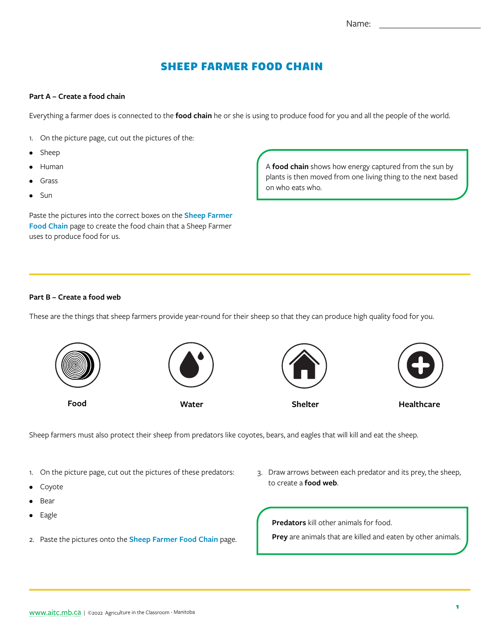# SHEEP FARMER FOOD CHAIN

### **Part A – Create a food chain**

Everything a farmer does is connected to the **food chain** he or she is using to produce food for you and all the people of the world.

- 1. On the picture page, cut out the pictures of the:
- Sheep
- Human
- **Grass**
- Sun

Paste the pictures into the correct boxes on the **Sheep Farmer Food Chain** page to create the food chain that a Sheep Farmer uses to produce food for us.

A **food chain** shows how energy captured from the sun by plants is then moved from one living thing to the next based on who eats who.

## **Part B – Create a food web**

These are the things that sheep farmers provide year-round for their sheep so that they can produce high quality food for you.



Sheep farmers must also protect their sheep from predators like coyotes, bears, and eagles that will kill and eat the sheep.

- 1. On the picture page, cut out the pictures of these predators:
- Coyote
- Bear
- Eagle
- 2. Paste the pictures onto the **Sheep Farmer Food Chain** page.
- 3. Draw arrows between each predator and its prey, the sheep, to create a **food web**.

**Predators** kill other animals for food.

**Prey** are animals that are killed and eaten by other animals.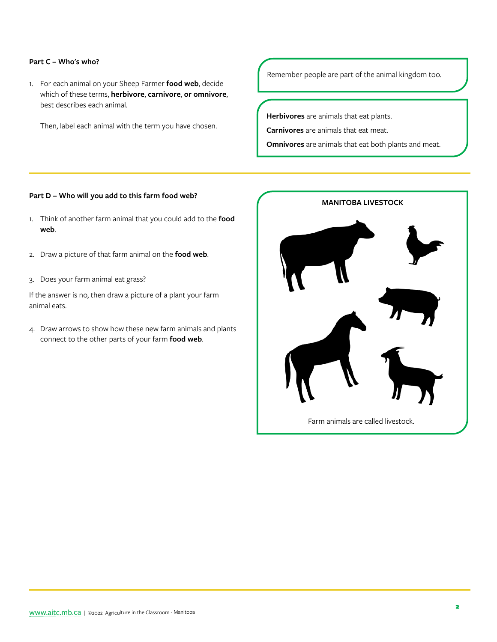### **Part C – Who's who?**

- 1. For each animal on your Sheep Farmer **food web**, decide which of these terms, **herbivore**, **carnivore**, **or omnivore**, best describes each animal.
	- Then, label each animal with the term you have chosen.

Remember people are part of the animal kingdom too.

**Herbivores** are animals that eat plants.

**Carnivores** are animals that eat meat.

**Omnivores** are animals that eat both plants and meat.

# **Part D – Who will you add to this farm food web?**

- 1. Think of another farm animal that you could add to the **food web**.
- 2. Draw a picture of that farm animal on the **food web**.
- 3. Does your farm animal eat grass?

If the answer is no, then draw a picture of a plant your farm animal eats.

4. Draw arrows to show how these new farm animals and plants connect to the other parts of your farm **food web**.

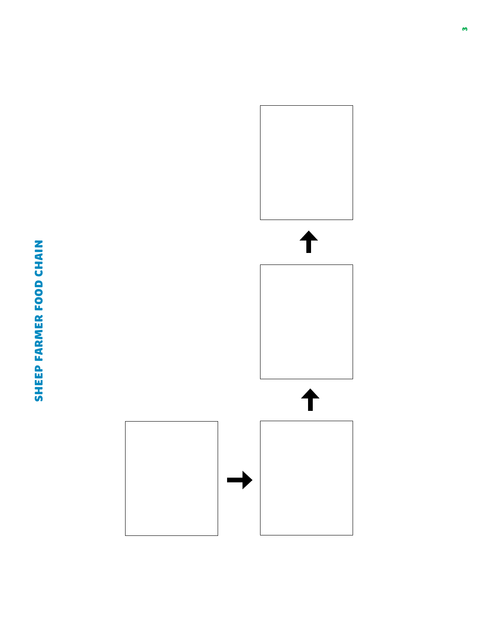# **SHEEP FARMER FOOD CHAIN** SHEEP FARMER FOOD CHAIN

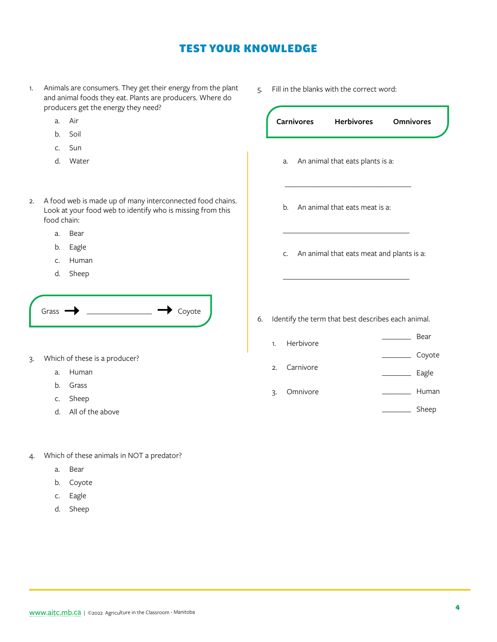# TEST YOUR KNOWLEDGE

- 1. Animals are consumers. They get their energy from the plant and animal foods they eat. Plants are producers. Where do producers get the energy they need?
	- a. Air
	- b. Soil
	- c. Sun
	- d. Water
- 2. A food web is made up of many interconnected food chains. Look at your food web to identify who is missing from this food chain:
	- a. Bear
	- b. Eagle
	- c. Human
	- d. Sheep

|--|

- 3. Which of these is a producer?
	- a. Human
	- b. Grass
	- c. Sheep
	- d. All of the above
- 4. Which of these animals in NOT a predator?
	- a. Bear
	- b. Coyote
	- c. Eagle
	- d. Sheep

5. Fill in the blanks with the correct word:

|                  | <b>Carnivores</b><br><b>Herbivores</b>                | <b>Omnivores</b> |
|------------------|-------------------------------------------------------|------------------|
|                  | An animal that eats plants is a:<br>a.                |                  |
|                  | An animal that eats meat is a:<br>b.                  |                  |
|                  | c. An animal that eats meat and plants is a:          |                  |
| 6.               | Identify the term that best describes each animal.    |                  |
| 1.               | Herbivore                                             | Bear<br>Coyote   |
| $\overline{2}$ . | $\overline{\phantom{a}}$<br>Carnivore<br><b>Eagle</b> |                  |
| 3.               | Human<br>Omnivore<br>Sheep                            |                  |
|                  |                                                       |                  |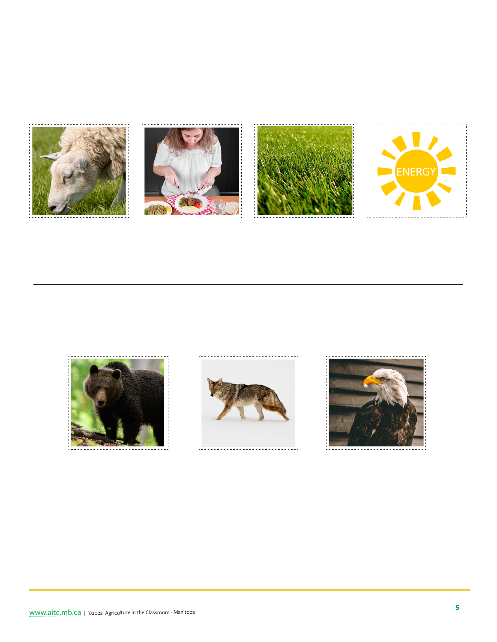







www.aitc.mb.ca | ©2022 Agriculture in the Classroom - Manitoba 5